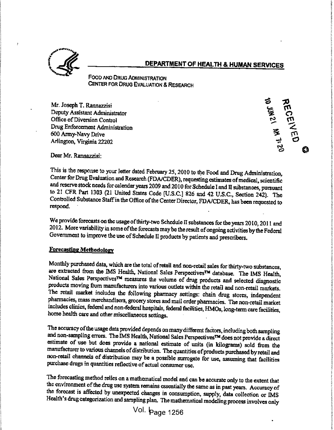

s

### DEPARTMENT OF HEALTH & HUMAN SERVICES

Food and Drug Administration CENTER FOR DRUG EVALUATION & RESEARCH

Mr. Joseph T. Rannazzisi Deputy Assistant Administrator Office of Diversion Control Drug Enforcement Administration 600 Army-Navy Drive Depluy Assistant Administrator<br>
Office of Diversion Control<br>
Drug Enforcement Administration<br>
600 Army-Navy Drive<br>
Arlington, Virginia 22202 Drug Enforcement Administration<br>
600 Army-Navy Drive<br>
Arlington, Virginia 22202

5 J 1 11 >• ට **(3** |

i

I.!t

I:IIf

?

I

**I** 

IIt

?

Dear Mr. Rannazzisi: <sup>1</sup> $\mathbf{r}$  and  $\mathbf{r}$  is a substitution of  $\mathbf{r}$ 

> This is the response to your letter dated February 25, 2010 to the Food and Drug Administration, Center for Drug Evaluation and Research (FDA/CDER), requesting estimates of medical, scientific and reserve stock needs for calendar years <sup>2009</sup> and <sup>201</sup> <sup>0</sup> forSchedule <sup>1</sup> and Iisubstances, pursuant to <sup>21</sup> CFR Part <sup>1303</sup> (21 United States Code [U.S.C.] <sup>826</sup> and <sup>42</sup> U.S.C., Section 242). The Controlled Substance Staff in the Office of the Center Director, FDA/CDER, has been requested to respond. Senal for Drug Evaluation and Research (FDA/CDER), requesting estimates of medical, scientific<br>and reserve stock needs for calendar years 2009 and 2010 for Schedule I and II substances, pursuant<br>to 21 CFR Part 1303 (21 Uni

We provide forecasts on the usage of thirty-two Schedule II substances for the years  $2010, 2011$  and 2012. More variability in some of the forecasts may be the result of ongoing activities by the Federal Government to improve the use of Schedule II products by patients and prescribers.

### **Forecasting Methodology**

**CONFIDENTIES CONTINUEST OF HEALTH & HUMAN SERVICES**<br>
FOCO AND CRUIN CONTINUEST OF HEALTH & HUMAN SERVICES<br>
Notice and the state of the state of the state of the state of the state of the state of the state of the state o Monthly purchased data, which are the total of retail and non-retail sales for thirty-two substances, are extracted from the IMS Health, National Sales Perspectives<sup>TM</sup> database. The IMS Health, National Sales Perspectives™ measures the volume of drug products and selected diagnostic products moving from manufacturers into various outlets within the retail and non-retail markets. The retail market includes the following pharmacy settings: chain drug stores, independent pharmacies, mass merchandisers, grocery stores and mail order pharmacies. The non-retail market includes clinics, federal and non-federal hospitals, federal facilities, HMOs, long-term care facilities, home health care and other miscellaneous settings. . f <sup>t</sup> National Sales Perspectives<sup>TM</sup> measures the volume of drug products and selected diagnostic<br>products moving from manufacturers into various outlets within the retail and non-retail market.<br>The retail market includes the

The accuracy ofthe usage data provided depends on manydifferent factors, including both sampling and non-sampling errors. The IMS Health, National Sales Perspectives™ does not provide a direct estimate of use but does provide <sup>a</sup> national estimate of units (in kilograms) sold from the manufacturer to various channels of distribution. The quantities of products purchased by retail and non-retail channels of distribution may be <sup>a</sup> possible surrogate for use, assuming that facilities purchase drugs in quantities reflective of actual consumer use.

> The forecasting method relics on <sup>a</sup> mathematical model and can be accurate only to the extent that the environment of the drug use system remains essentially the same as in past years. Accuracy of the forecast is affected by unexpected changes in consumption, supply, data collection or IMS Health's drug categorization and sampling plan. The mathematical modeling process involves only  $\sqrt{\frac{1}{1}}$   $\sqrt{\frac{1}{1256}}$

 ${Vol.}$   ${\bf Page 1256}$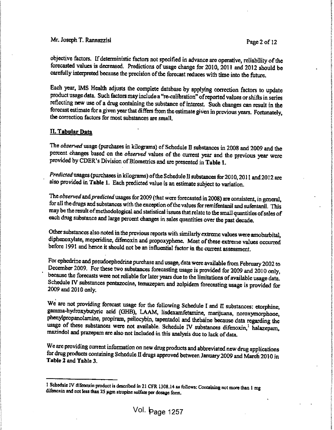Page 2 of 12

Į.

i;tfi

!

f.

objective factors. If deterministic factors not specified in advance are operative, reliability of the forecasted values is decreased. Predictions of usage change for 2010, 2011 and 2012 should be<br>carefully interpreted because the precision of the forecast reduces with time into the future.

We, Joseph T. Ramonzzia Pego 2 of 12 2<br>
objective Asiam. L'deterministic future at specified in stronge as operative, relativity of the controlling of the controlling of the specified in stronge change of the 2012 control Each year, IMS Health adjusts the complete database by applying correction factors to update product usage data. Such factors may include <sup>a</sup> "re-calibration" ofreported values or shifts in series reflecting new use of <sup>a</sup> drug containing the substance of interest. Such changes can result in the forecast estimate for a given year that differs from the estimate given in previous years. Fortunately, product usage data. Such factors may include a "re-calibration" of reported values or shifts in series<br>reflecting new use of a drug containing the substance of interest. Such changes can result in the<br>forecast estimate for

#### II. Tabular Data

i.

 $\label{eq:2.1} \frac{\partial}{\partial t} \frac{\partial}{\partial t} \frac{\partial}{\partial t} \frac{\partial}{\partial t} \frac{\partial}{\partial t} \frac{\partial}{\partial t} \frac{\partial}{\partial t} \frac{\partial}{\partial t} \frac{\partial}{\partial t} \frac{\partial}{\partial t} \frac{\partial}{\partial t} \frac{\partial}{\partial t} \frac{\partial}{\partial t} \frac{\partial}{\partial t} \frac{\partial}{\partial t} \frac{\partial}{\partial t} \frac{\partial}{\partial t} \frac{\partial}{\partial t} \frac{\partial}{\partial t} \frac{\partial}{\partial t} \frac{\partial}{\partial t} \frac{\partial}{\partial t} \frac{\partial}{\partial t} \frac{\partial$ 

 $\frac{1}{2}$ 

The *observed* usage (purchases in kilograms) of Schedule II substances in 2008 and 2009 and the percent changes based on the *observed* values of the current year and the previous year were The *observed* usage (purchases in kilograms) of Schedule II substances in 2008 and 2009 and the percent changes based on the *observed* values of the current year and the previous year were provided by CDER's Division of  $\frac{1}{2}$ 

Predicted usages (purchases in kilograms) of the Schedule II substances for 2010, 2011 and 2012 are also provided in Table 1. Each predicted value is an estimate subject to variation.

The observed and predicted usages for 2009 (that were forecasted in 2008) are consistent, in general, for all the drugs and substances with the exception of the values for remifentanil and sufentanil. This may be the result ofmethodological and statistical issues that relate to the small quantities ofsales of each drug substance and large percent changes in sales quantities over the past decade. before 1991 and hence it should not be an influential factor in the current assessment.<br>
The *observed* and *predicted* usages for 2009 (that were forecasted in 2008) are consistent, in general, for all the drugs and subst

Other substances also noted in the previous reports with similarly extreme values were amobarbital, diphenoxylate, meperidine, difenoxin and propoxyphene. Most of these extreme values occurred before 1991 and hence it should not be an influential factor in the current assessment.

 $\frac{1}{2}$ 

For ephedrine and pseudoephedrine purchase and usage, data were available from February <sup>2002</sup> to December 2009. For these two substances forecasting usage is provided for 2009 and 2010 only, because the forecasts were not reliable for later years due to the limitations of available usage data. Schedule IV substances pentazocine, temazepam and zolpidem forecasting usage is provided for 2002 to<br>December 2009. For these two substances forecasting usage is provided for 2009 and 2010 only,<br>because the forecasts were not reliable for later years due to the limitations of available usage data.<br>Schedule IV subs

 $\frac{1}{2}$ 

We are not providing forecast usage for the following Schedule I and II substances: etorphine, gamma-hydroxybutyric acid (GHB), LAAM, Iisdexamfetamine, marijuana, noroxymorphone, phenylpropanolamine, propiram, psilocybin, tapentadol and thebaine because data regarding the usage of these substances were not available. Schedule IV substances difenoxin,<sup>1</sup> halazepam, mazindol and prazepam are also not included in this analysis due to lack of data. From the not providing to ecast usage for the following Schedule I and II substances: etorphine,<br>gamma-hydroxybutyric acid (GHB), LAAM, lisdexamfetamine, marijuana, noroxymorphone,<br>phenylpropanolamine, propiram, psilocybin

We are providing current information on new drug products and abbreviated new drug applications for drug products containing Schedule II drugs approved between January <sup>2009</sup> and March <sup>201</sup> 0 in Table 2 and Table 3.

r en de la component de la component de la component de la component de la component de la component de la com<br>En 1980, en la component de la component de la component de la component de la component de la component de la

<sup>1</sup> Schedule IV difenoxin product is described in <sup>21</sup> CFR 1308. <sup>14</sup> as follows: Containing not more than <sup>1</sup> mg difenoxin and not less than 25 µgm atropine sulfate per dosage form.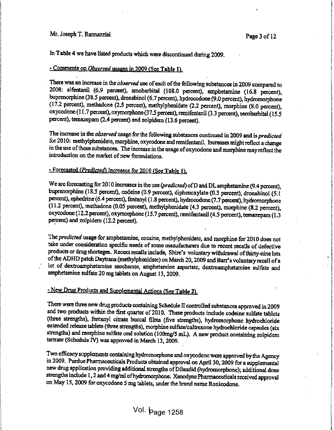Į.

!

s

I

!

I

t:

I

|<br>|<br>|<br>|

I

In Table 4 we have listed products which were discontinued during 2009.

#### $\overline{\phantom{a}}$ - Comments on Observed usages in 2009 (See Table 1).

Vol. I campa fi. The meaning interaction which were discussions of derivative (1999)  $\sigma$  i. The mean of the mean of the mean of the mean of the mean of the mean of the mean of the mean of the mean of the mean of the mean There was an increase in the observed use of each of the following substances in 2009 compared to 2008: alfentanil (6.9 percent), amobarbital (108.0 percent), amphetamine (16.8 percent), buprenorphine (38.5 percent), dronabinol (6.7 percent), hydrocodone (9.0 percent), hydromorphone (17.2 percent), methadone (2.5 percent), methylphenidate (2.2 percent), morphine (8.0 percent), oxycodone (11.7 percent), oxymorphone (37.5 percent), remifentanil (3.3 percent), secobarbital (15.5 percent), temazepam (2.4 percent) and zolpidem (13.6 percent). Frace was an increase in the *observed* use of each of the tollowing substances in 2009 compared to 2008: alfentanil (6.9 percent), amobarbital (108.0 percent), amphetamine (16.8 percent), buprenorphine (38.5 percent), dro

The increase in the observed usage for the following substances continued in 2009 and is predicted for 2010: methylphenidate, morphine, oxycodone and remifentanil. Increases might reflect a change in the use of these substances. The increase in the usage of oxycodone and morphine may reflect the for 2010: methylphenidate, morphine, oxycodone and remifentanil. Increases might reflect a change<br>in the use of these substances. The increase in the usage of oxycodone and morphine may reflect the<br>introduction on the mark introduction on the market of new formulations.

 $\frac{1}{2}$ 

### - Forecasted (Predicted) Increases for 2010 (See Table 1).

We arc forecasting for 2010 increases in the use (predicted) of D and DL amphetamine (9.4 percent), buprenorphine (18.5 percent), codeine (0.9 percent), diphenoxylate (0.3 percent), dronabinol (5.1 percent), ephedrine (6.4 percent), fentanyl ( <sup>1</sup> .8 percent), hydrocodone (7.7 percent), hydromorphone (1 1.2 percent), methadone (0.05 percent), methylphenidate (4.3 percent), morphine (8.2 percent), oxycodone (12.2 percent), oxymorphone (15.7 percent), remifentanil (4.5 percent), temazepam (1.3 percent) and zolpidem (12.2 percent). we are forecasting for 2010 increases in the use (predicted) of D and DL amphetamine (9.4 percent),<br>buprenorphine (18.5 percent), codeine (0.9 percent), diphenoxylate (0.3 percent), dronabinol (5.1<br>percent), ephedrine (6.4

 $\sim$ 

The predicted usage for amphetamine, cocaine, methylphenidate, and morphine for 2010 does not take under consideration specific needs of some manufacturers due to recent recalls of defective products or drug shortages. Recent recalls include, Shire's voluntary withdrawal of thirty-nine lots ofthe ADHD patch Daytrana (methylphenidate) on March 20, <sup>2009</sup> and Barr's voluntary recall of a lot of dextroamphetamine saccharate, amphetamine aspartate, dextroamphetamine sulfate and amphetamine sulfate 20 mg tablets on August 13, 2009. take under consideration specific needs of some manufacturers due to recent recalls of defective<br>products or drug shortages. Recent recalls include, Shire's voluntary withdrawal of thirty-nine lots<br>of the ADHD patch Daytra

#### - New Drug Products and Supplemental Actions (See Table 2).

There were three new drug products containing Schedule <sup>H</sup> controlled substances approved in 2009 and two products within the first quarter of  $2010$ . These products include codeine sulfate tablets (three strengths), fentanyl citrate buccal films (five strengths), hydromorphone hydrochloride extended release tablets (three strengths), morphine sulfate/naltrexone hydrochloride capsules (six strengths) and morphine sulfate oral solution (100mg/5 mL). <sup>A</sup> new product containing Zolpidem tartrate (Schedule IV) was approved in March 13, 2009. The were three new dring products containing Schedule II controlled substances approved in 2009<br>and two products within the first quarter of 2010. These products include codeine sulfate tablets<br>(three strengths), fentanyl

Two efficacy supplements containing hydromorphone and oxycodone wore approved by the Agency in 2009. Purdue Pharmaceuticals Products obtained approval on April 30, <sup>2009</sup> for <sup>a</sup> supplemental new drug application providing additional strengths of Dilaudid (hydromorphone); additional dose strengths include 1, 2 and <sup>4</sup> mg/ml ofhydromorphone. Xanodyne Pharmaceuticals received approval on May 15, 2009 for oxycodone 5 mg tablets, under the brand name Roxicodone.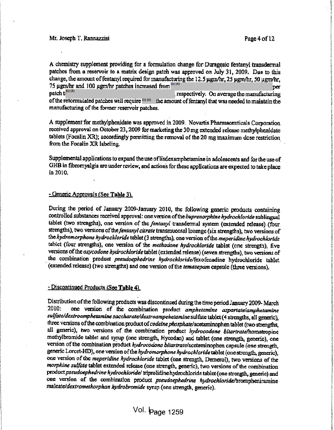: e. !

!

interior

f

f !>

( •: i

r

!

<sup>A</sup> chemistry supplement providing for <sup>a</sup> formulation change for Duragesic fentanyl transdermal patches from <sup>a</sup> reservoir to <sup>a</sup> matrix design patch was approved on July 31, 2009, Due to this change, the amount of fentanyl required for manufacturing the 12.5 µgm/hr, 25 µgm/hr, 50 µgm/hr, 75  $\mu$ gm/hr and 100  $\mu$ gm/hr patches increased from  $\mu$ <sup>(b)(4)</sup> patch ti<sup>(b) (4)</sup> of the reformulated patches will require  $^{(0)(4)}$  the amount of fentanyl that was needed to maintain the  $^{12}$ manufacturing of the former reservoir patches.  $p$ er  $\qquad \qquad \frac{1}{2}$ , respectively. On average the manufacturing

A supplement for methylphenidate was approved in 2009. Novartis Pharmacenticals Corporation received approval on October 23, <sup>2009</sup> for marketing the <sup>30</sup> mg extended release methylphenidate tablets (Focalin XR); accordingly permitting the removal of the <sup>20</sup> mg maximum dese restriction from the Focalin XR labeling.

Supplemental applications to expand the use of lisdexamphetamine in adolescents and for the use of GHB in fibromyalgia are under review, and actions for these applications are expected to take place in 2010.

#### • Generic Approvals (See Table 3).

During the period of January 2009-January 2010, the following generic products containing controlled substances received approval: one version of the buprenorphine hydrochloride sublingual tablet (two strengths), one version of the fentanyl transdermal system (extended release) (four strengths), two versions of the fentanyl citrate transmucosal lozenge (six strengths), two versions of the hydromorphone hydrochloride tablet (3 strengths), one version of the meperidine hydrochloride tablet (four strengths), one version of the methadone hydrochloride tablet (one strength), five versions of the oxycodone hydrochloride tablet (extended release) (seven strengths), two versions of the combination product pseudoephedrine hydrochloride/fexofenadine hydrochloride tablet (extended release) (two strengths) and one version of the temazepam capsule (three versions).

#### - Discontinued Products (See Table 4).

Distribution ofthe following products was discontinued during the time period January 2009- March 2010: sulfate/dextroamphetamine saccharate/dextroampehetamine sulfate tablet (4 strengths, all generic), three versions of the combination product of *codeine phosphate*/acetaminophen tablet (two strengths, all generic), two versions of the combination product hydrocodone bitartrate/homatropine methylbromide tablet and syrup (one strength, Hycodan) and tablet (one strength, generic), one version of the combination product hydrocodone bitartrate/acetaminophen capsule (one strength, generic Lorcet-HD), one version of the hydromorphone hydrochloride tablet (one strength, generic), one version of tbe meperidine hydrochloride tablet (one strength, Demerol), two versions of the morphine sulfate tablet extended release (one strength, generic), two versions of the combination product pseudoephedrine hydrochloride/ triprolidine hydrochloride tablet (one strength, generic) and one version of the combination product pseudoephedrine hydrochloride/brompheniramine malcatc/dextromethorphan hydrobromide syrup (one strength, generic). one version of the combination product amphetamine aspartate/amphetamine

### Vol. **Þ**age 1259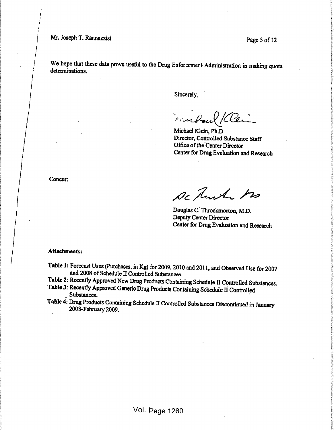Page 5 of 12

We hope that these data prove useful to the Drug Enforcement Administration in making quota determinations.

Sincerely,

Michael Klein, Ph.D Director, Controlled Substance Staff Office of the Center Director Center for Drug Evaluation and Research

Concur:

De Turk ho

Douglas C. Throckmorton, M.D. Deputy Center Director Center for Drug Evaluation and Research

Attachments:

Table 1: Forecast Uses (Purchases, in Kg) for 2009, 2010 and 2011, and Observed Use for 2007 and 2008 of Schedule II Controlled Substances.

Table 2: Recently Approved New Drug Products Containing Schedule II Controlled Substances.

Table 3: Recently Approved Generic Drug Products Containing Schedule II Controlled Substances.

Table 4: Drug Products Containing Schedule II Controlled Substances Discontinued in January 2008-February 2009.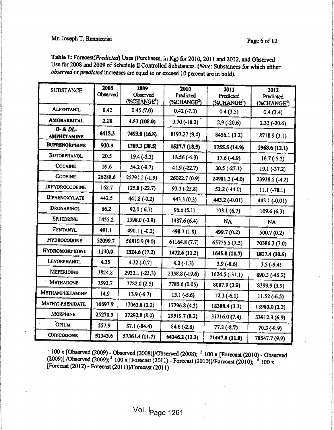#### $\mathcal{L}$  is a set of  $\mathcal{L}$  in the set of  $\mathcal{L}$  is a set of  $\mathcal{L}$  is a set of  $\mathcal{L}$  is a set of  $\mathcal{L}$  is a set of  $\mathcal{L}$  is a set of  $\mathcal{L}$  is a set of  $\mathcal{L}$  is a set of  $\mathcal{L}$  is a set of  $\mathcal{L}$  Mr. Joseph T. Rannazzisi eta aldera arte aldera arte aldera arte aldera arte aldera arte aldera arte aldera arte aldera arte aldera arte aldera arte aldera arte aldera arte aldera arte aldera arte aldera arte aldera arte a **6 of 12** I is seen that the contract the contract of the contract of the contract of the contract of the contract of the contract of the contract of the contract of the contract of the contract of the contract of the cont

J

fc

in the collect of anti-section

!!!!

1:

| <b>SUBSTANCE</b>               | 2008<br><b>Observed</b> | 2009<br><b>Observed</b><br>(%CHANGE <sup>1</sup> ) | 2010<br>Predicted<br>$%$ CHANGE <sup>2</sup> ) | 2011<br>Predicted<br>$(*CHANGE3)$ | 2012<br>Predicted<br>(%CHANGE <sup>4</sup> ) |
|--------------------------------|-------------------------|----------------------------------------------------|------------------------------------------------|-----------------------------------|----------------------------------------------|
| <b>ALFENTANIL</b>              | 0.42                    | 0.45(7.0)                                          | $0.42(-7.3)$                                   | 0.4(3.5)                          | 0.4(3.4)                                     |
| <b>AMOBARBITAL</b>             | 2.18                    | 4.53 (108.0)                                       | $3.70(-18.2)$                                  | $2.9$ (-20.6)                     | $2.33(-20.6)$                                |
| D- & DL-<br><b>AMPHETAMINE</b> | 6415.3                  | 7493.0 (16.8)                                      | 8193.27 (9.4)                                  | 8456.1 (3.2)                      | 8718.9(3.1)                                  |
| <b>BUPRENORPHINE</b>           | 930.9                   | 1289.3 (38.5)                                      | 1527.7 (18.5)                                  | 1755.5 (14.9)                     | 1968.6(12.1)                                 |
| <b>BUTORPHANOL</b>             | 20.5                    | $19.4(-5.3)$                                       | 18,56(4,3)                                     | 17.6(4.9)                         | $16.7(-5.2)$                                 |
| <b>COCAINE</b>                 | 59.6                    | $54.2(-9.7)$                                       | $41.9(-22.7)$                                  | $30.5 (-27.1)$                    | $19.1(-37.2)$                                |
| <b>CODEINE</b>                 | 26288.6                 | 25791.2 (-1.9).                                    | 26022.7 (0.9)                                  | 24981.3 (-4.0)                    | 23938.5 (-4.2)                               |
| DIHYDROCODEINE                 | 162.7                   | $125.8(-22.7)$                                     | $93.3(-25.8)$                                  | 52.2(44.0)                        | $11.1(-78.1)$                                |
| DIPHENOXYLATE                  | 442.5                   | $441.8(-0.2)$                                      | 443.3(0.3)                                     | $443.2(-0.01)$                    | 443.1 (-0.01)                                |
| DRONABINOL                     | 86.2                    | 92.0(6.7)                                          | 96.6(5.1)                                      | 103.1(6.7)                        | 109.6(6.3)                                   |
| <b>EPHEDRINE</b>               | 1455.2                  | 1398.0 (-3.9)                                      | 1487.6(6.4)                                    | <b>NA</b>                         | <b>NA</b>                                    |
| FENTANYL                       | 491.1                   | 490.1 (-0.2)                                       | 498.7 (1.8)                                    | 499.7 (0.2)                       | 500.7(0.2)                                   |
| <b>HYDROCODONE</b>             | 52099.7                 | 56810.9 (9.0)                                      | 61164.8 (7.7)                                  | 65775.5 (7.5)                     | 70386.3 (7.0)                                |
| <b>HYDROMORPHONE</b>           | 1130.0                  | 1324.6 (17.2)                                      | 1472.6 (11.2)                                  | 1645.0 (11.7)                     | 1817.4 (10.5)                                |
| LEVORPHANOL                    | 4.35                    | $4.32(-0.7)$                                       | $4.2(-1.3)$                                    | $3.9(-8.6)$                       | $3.5(-9.4)$                                  |
| <b>MEPERIDINE</b>              | 3824.8                  | 2932.1 (-23.3)                                     | $2358.8(-19.6)$                                | $1624.5(-31.1)$                   | 890.3 (-45.2)                                |
| <b>METHADONE</b>               | 7593.7                  | 7782.0 (2.5)                                       | 7785.6 (0.05)                                  | 8087.9 (3.9)                      | 8399.9(3.9)                                  |
| <b>METHAMPHETAMINE</b>         | 14.9                    | $13.9(-6.7)$                                       | $13.1(-5.6)$                                   | $12.3(-6.1)$                      | $11.52(-6.5)$                                |
| <b>METHYLPHENIDATE</b>         | 16697.9                 | 17063.8 (2.2)                                      | 17796.8 (4.3)                                  | 18388.4(3.3)                      | 18980.0 (3.2)                                |
| <b>MORPHINE</b>                | 25270.5                 | 27292.8 (8.0)                                      | 29519.7 (8.2)                                  | 31716.0 (7.4)                     | 33912.3 (6.9)                                |
| <b>OPIUM</b>                   | 557.9                   | $87.1(-84.4)$                                      | $84.6(-2.8)$                                   | $77.2(-8.7)$                      | $70.3(-8.9)$                                 |
| <b>OXYCODONE</b>               | 51343.6                 | 57361.4 (11.7)                                     | 64346.2 (12.2)                                 | 71447.0 (11.0)                    | 78547.7 (9.9)                                |

Table 1: Forecast(Predicted) Uses (Purchases, in Kg) for 2010, 2011 and 2012, and Observed<br>Use for 2008 and 2009 of Schedule II Contralled Bub to the California of the California Use for 2008 and 2009 of Schedule II Controlled Substances. (Note: Substances for which either observed or predicted increases are equal to or exceed 10 percent are in bold).

 $\frac{1}{2}$ <sup>f</sup> <sup>I</sup>  $\frac{1}{2}$  $\mathcal{L} = \{ \mathbf{I} \mid \mathbf{I} \in \mathcal{L} \}$ 

<sup>1</sup> 100 x [Observed (2009) - Observed (2008)]/Observed (2008); <sup>2</sup> 100 x [Forecast (2010) - Observed (2009)] /Observed (2009); <sup>3</sup> 100 x [Forecast (20110])/Forecast (2010); <sup>4</sup> 100 x (2009)] /Observed (2009);  $\frac{3}{100}$  x [Forecast (2010)] /Observed (2009);  $\frac{3}{100}$  x [Forecast (2011) - Forecast (2010)]/Forecast (2010);  $\frac{4}{100}$  x [Forecast (2012) - Forecast (2011)]/Forecast (2011)]

 $\frac{1}{2}$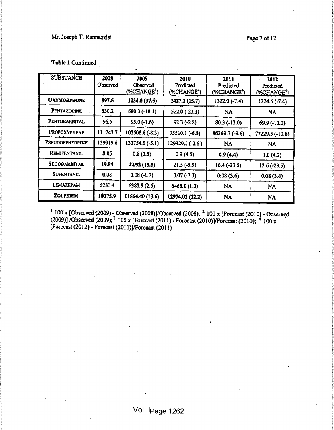### Mr. Joseph T. Rannazzisi Page 7 of 12

ŧ.

i

i<br>Indiana

in the control

i; !

f financial

i<br>I

į.

I

I

I

i<br>V

|<br>|}

i. I-

I

\

**International Control** 

**Northeast Street** 

**WASHINGTON** 

in the control of the control of the

Service Service Service

| Table 1 Continued |  |
|-------------------|--|
|                   |  |
|                   |  |

ing terminal and the control of the control of the control of the control of the control of the control of the<br>International control of the control of the control of the control of the control of the control of the control

!

i<br>Si<br>Si j<br>John Stein<br>John Stein

I<br>I i 1

1 I.

 $\frac{1}{2}$ 

š. t.

! i $\mathcal{L}$ i<br>Santa Cara<br>Santa Cara

i 1

1

{

1

ł. alia viene.<br>Internet

| <b>SUBSTANCE</b>       | 2008<br>Observed | 2009<br>Obscryed<br>$(*CHANGE')$ | 2010<br>Predicted<br>(%CHANGE <sup>2</sup> ) | 2011<br>Predicted<br>(%CHANGE <sup>3</sup> ) | 2012<br>Predicted<br>(%CHANGE <sup>4</sup> ) |
|------------------------|------------------|----------------------------------|----------------------------------------------|----------------------------------------------|----------------------------------------------|
| <b>OXYMORPHONE</b>     | 897.5            | 1234.0(37.5)                     | 1427.2 (15.7)                                | $1322.0(-7.4)$                               | $1224.6(-7.4)$                               |
| Pentazocine            | 830.2            | $680.3(-18.1)$                   | $522.0(-23.3)$                               | <b>NA</b>                                    | <b>NA</b>                                    |
| PENTOBARBITAL          | 96.5             | $95.0(-1.6)$                     | $92.3(-2.8)$                                 | $80.3(-13.0)$                                | 69.9 (-13.0)                                 |
| PROPOXYPHENE           | 111743.7         | $102508.6(-8.3)$                 | 95510.1 (-6.8)                               | $86369.7(-9.6)$                              | 77229.3 (-10.6)                              |
| <b>PSEUDOEPHEDRINE</b> | 139915.6         | $132754.0(-5.1)$                 | 129329.2 (-2.6)                              | <b>NA</b>                                    | <b>NA</b>                                    |
| REMIFENTANIL           | 0.85             | 0.8(3.3)                         | 0.9(4.5)                                     | 0.9(4.4)                                     | 1.0(4.2)                                     |
| <b>SECOBARBITAL</b>    | 19.84            | 22.92(15.5)                      | $21.5(-5.9)$                                 | $16.4(-23.5)$                                | $12.6(-23.5)$                                |
| <b>SUFENTANIL</b>      | 0.08             | $0.08(-1.7)$                     | $0.07(-7.3)$                                 | 0.08(3.6)                                    | 0.08(3.4)                                    |
| Temazepam              | 6231.4           | 6383.9(2.5)                      | 6468.0(1.3)                                  | NA                                           | <b>NA</b>                                    |
| <b>ZOLPIDEM</b>        | 10175.9          | 11564.40 (13.6)                  | 12974.02 (12.2)                              | <b>NA</b>                                    | <b>NA</b>                                    |

 $\mathcal{L}$  and the contract of the contract of the contract of the contract of the contract of the contract of the contract of the contract of the contract of the contract of the contract of the contract of the contract of

 $\frac{1}{100}$  x [Observed (2009) - Observed (2008)]/Observed (2008);  $\frac{2}{100}$  x [Forecast (2010) - Observed (2009)] /Observed (2009); <sup>3</sup> 100 x [Forecast (2011) - Forecast (2010)]/Forecast (2010); <sup>4</sup> 100 x [Forecast (2012) - Forecast (201 l)]/Forccast (201 1)

 $\frac{1}{2}$ 

j in de staat de staat de staat de staat de staat de staat de staat de staat de staat de staat de staat de sta<br>In de staat de staat de staat de staat de staat de staat de staat de staat de staat de staat de staat de staat

 $\tilde{r}$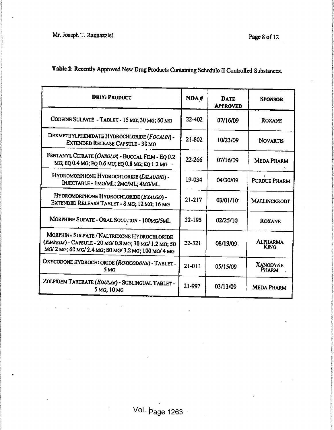Nr. Joseph T. Rannazzisi i matematika kwa kutoka kwa kutoka wa 1992 wapatao 12 i Mr. Joseph T. Rannazzisi

s 'J

! E.

s

i

i

i

da kalendari.<br>J

1

I I In the Line I

i i i i t

i.

**International Control** 

ta ing ing

!

r !!!

I

i t 1

| Table 2: Recently Approved New Drug Products Containing Schedule II Controlled Substances, |  |
|--------------------------------------------------------------------------------------------|--|
|--------------------------------------------------------------------------------------------|--|

| <b>DRUG PRODUCT</b>                                                                                                                                      | NDA#       | <b>DATE</b><br><b>APPROVED</b> | <b>SPONSOR</b>                 |
|----------------------------------------------------------------------------------------------------------------------------------------------------------|------------|--------------------------------|--------------------------------|
| CODEINE SULFATE - TABLET - 15 MG; 30 MG; 60 MG                                                                                                           |            | 07/16/09                       | <b>ROXANE</b>                  |
| DEXMETHYLPHENIDATE HYDROCHLORIDE (FOCALIN) -<br><b>EXTENDED RELEASE CAPSULE - 30 MG</b>                                                                  |            | 10/23/09                       | <b>NOVARTIS</b>                |
| FENTANYL CITRATE (ONSOLIS) - BUCCAL FILM - EQ 0.2<br>MG; EQ 0.4 MG; EQ 0.6 MG; EQ 0.8 MG; EQ 1.2 MG                                                      |            | 07/16/09                       | <b>MEDA PHARM</b>              |
| HYDROMORPHONE HYDROCHLORIDE (DILAUDID) -<br>INJECTABLE - 1MG/ML; 2MG/ML; 4MG/ML                                                                          |            | 04/30/09                       | PURDUE PHARM                   |
| HYDROMORPHONE HYDROCHLORIDE (EXALGO) -<br>EXTENDED RELEASE TABLET - 8 MG; 12 MG; 16 MG                                                                   | $21 - 217$ | 03/01/10                       | MALLINCKRODT                   |
| MORPHINE SUFATE - ORAL SOLUTION - 100MG/5ML                                                                                                              | 22-195     | 02/25/10                       | <b>ROXANE</b>                  |
| MORPHINE SULFATE / NALTREXONE HYDROCHLORIDE<br>(EMBEDA) - CAPSULE - 20 MG/ 0.8 MG; 30 MG/ 1.2 MG; 50<br>MG/2 MG; 60 MG/2.4 MG; 80 MG/3.2 MG; 100 MG/4 MG | $22 - 321$ | 08/13/09                       | <b>ALPHARMA</b><br><b>KING</b> |
| OXYCODONE HYDROCHLORIDE (ROXICODONE) - TABLET -<br>5 MG                                                                                                  | $21-011$   | 05/15/09                       | <b>XANODYNE</b><br>Pharm       |
| ZOLPIDEM TARTRATE (EDULAR) - SUBLINGUAL TABLET -<br>5 MG; 10 MG                                                                                          | 21-997     | 03/13/09                       | <b>MEDA PHARM</b>              |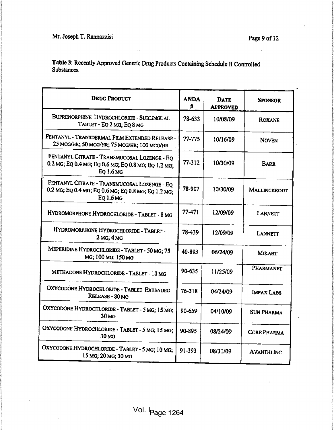the pact i

'? $\frac{1}{2}$ 

i

12000000

| $\ddots$                                                                                                         |                  |                                | Page 9 of 12       |
|------------------------------------------------------------------------------------------------------------------|------------------|--------------------------------|--------------------|
| Table 3: Recently Approved Generic Drug Products Containing Schedule II Controlled<br>Substances.                |                  |                                |                    |
| <b>DRUG PRODUCT</b>                                                                                              | <b>ANDA</b><br># | <b>DATE</b><br><b>APPROVED</b> | <b>SPONSOR</b>     |
| BUPRENORPHINE HYDROCHLORIDE - SUBLINGUAL<br>TABLET - EQ 2 MG; EQ 8 MG                                            | 78-633           | 10/08/09                       | ROXANE             |
| FENTANYL - TRANSDERMAL FILM EXTENDED RELEASE -<br>25 MCG/HR; 50 MCG/HR; 75 MCG/HR; 100 MCG/HR                    | 77-775           | 10/16/09                       | <b>NOVEN</b>       |
| FENTANYL CITRATE - TRANSMUCOSAL LOZENGE - EQ<br>0.2 MG; EQ 0.4 MG; EQ 0.6 MG; EQ 0.8 MG; EQ 1.2 MG;<br>EQ 1.6 MG | 77-312           | 10/30/09                       | <b>BARR</b>        |
| FENTANYL CITRATE - TRANSMUCOSAL LOZENGE - EQ<br>0.2 MG; EQ 0.4 MG; EQ 0.6 MG; EQ 0.8 MG; EQ 1.2 MG;<br>EQ 1.6 MG | 78-907           | 10/30/09                       | MALLINCKRODT       |
| HYDROMORPHONE HYDROCHLORIDE - TABLET - 8 MG                                                                      | 77-471           | 12/09/09                       | LANNETT            |
| HYDROMORPHONE HYDROCHLORIDE - TABLET -<br>2 <sub>MG</sub> ; 4 <sub>MG</sub>                                      | 78-439           | 12/09/09                       | LANNETT            |
| MEPERIDINE HYDROCHLORIDE - TABLET - 50 MG; 75<br>MG, 100 MG; 150 MG                                              | 40-893           | 06/24/09                       | <b>MIKART</b>      |
| METHADONE HYDROCHLORIDE - TABLET - 10 MG                                                                         | 90-635           | 11/25/09                       | PHARMANET          |
| OXYCODONE HYDROCHLORIDE - TABLET EXTENDED<br>RELEASE - 80 MG                                                     | $76 - 318$       | 04/24/09                       | IMPAX LABS         |
| OXYCODONE HYDROCHLORIDE - TABLET - 5 MG; 15 MG;<br>30 MG                                                         | 90-659           | 04/10/09                       | <b>SUN PHARMA</b>  |
| OXYCODONE HYDROCHLORIDE - TABLET - 5 MG; 15 MG;<br>30 MG                                                         | 90-895           | 08/24/09                       | <b>CORE PHARMA</b> |
| OXYCODONE HYDROCHLORIDE - TABLET - 5 MG; 10 MG;<br>15 MG; 20 MG; 30 MG                                           | 91-393           | 08/31/09                       | <b>AVANTHI INC</b> |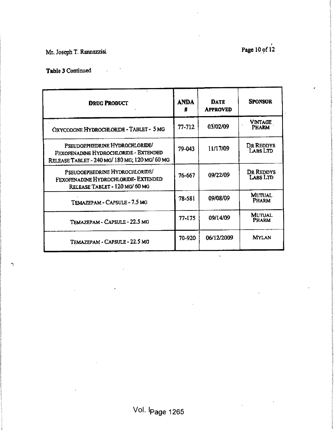Table 3 Continued

 $\mathbf{I}$ 

| <b>DRUG PRODUCT</b>                                                                                                       | <b>ANDA</b><br>₩ | <b>DATE</b><br><b>APPROVED</b> | <b>SPONSOR</b>                |
|---------------------------------------------------------------------------------------------------------------------------|------------------|--------------------------------|-------------------------------|
| OXYCODONE HYDROCHLORIDE - TABLET - 5 MG                                                                                   | 77-712           | 03/02/09                       | VINTAGE<br><b>PHARM</b>       |
| PSEUDOEPHEDRINE HYDROCHLORIDE/<br>FEXOFENADINE HYDROCHLORIDE - EXTENDED<br>RELEASE TABLET - 240 MG/ 180 MG; 120 MG/ 60 MG | 79-043           | 11/17/09                       | DR REDDYS<br>LABS LTD         |
| PSEUDOEPHEDRINE HYDROCHLORIDE/<br>FEXOFENADINE HYDROCHLORIDE- EXTENDED<br>RELEASE TABLET - 120 MG/ 60 MG                  | 76-667           | 09/22/09                       | DR REDDYS<br>LABS LTD         |
| TEMAZEPAM - CAPSULE - 7.5 MG                                                                                              | 78-581           | 09/08/09                       | <b>MUTUAL</b><br>PHARM        |
| TEMAZEPAM - CAPSULE - 22.5 MG                                                                                             | 77-175           | 09/14/09                       | <b>MUTUAL</b><br><b>PHARM</b> |
| TEMAZEPAM - CAPSULE - 22.5 MG                                                                                             | 70-920           | 06/12/2009                     | <b>MYLAN</b>                  |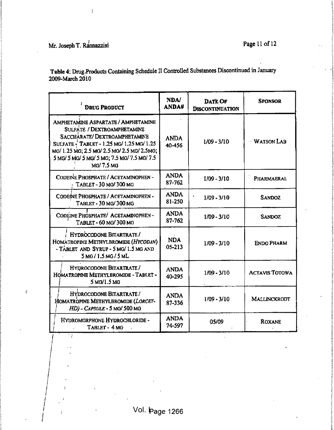$\overline{(}$ 

 $\frac{1}{2}$ 

Table 4: Drug, Products Containing Schedule II Controlled Substances Discontinued in January 2009-March 2010

| <b>DRUG PRODUCT</b>                                                                                                                                                                                                                                         | <b>NDA/</b><br><b>ANDA#</b> | <b>DATE OF</b><br><b>DISCONTINUATION</b> | SPONSOR               |
|-------------------------------------------------------------------------------------------------------------------------------------------------------------------------------------------------------------------------------------------------------------|-----------------------------|------------------------------------------|-----------------------|
| AMPHETAMINE ASPARTATE / AMPHETAMINE<br>SULFATE / DEXTROAMPHETAMINE<br>SACCHARATE/DEXTROAMPHETAMINE<br>SULFATE - TABLET - 1.25 MG/ 1.25 MG/ 1.25<br>MG/ 1.25 MG; 2.5 MG/ 2.5 MG/ 2.5 MG/ 2.5 MG;<br>5 MG/ 5 MG/ 5 MG/ 5 MG; 7.5 MG/ 7.5 MG/ 7.5<br>MG/7.5 MG | <b>ANDA</b><br>40-456       | $1/09 - 3/10$                            | <b>WATSON LAB</b>     |
| CODEINE PHOSPHATE / ACETAMINOPHEN -<br>$\cdot$ TABLET - 30 MG/300 MG                                                                                                                                                                                        | <b>ANDA</b><br>$87 - 762$   | $1/09 - 3/10$                            | PHARMAERAL            |
| CODEINE PHOSPHATE / ACETAMINOPHEN -<br>TABLET - 30 MG/300 MG                                                                                                                                                                                                | <b>ANDA</b><br>81-250       | $1/09 - 3/10$                            | <b>SANDOZ</b>         |
| CODEINE PHOSPHATE/ ACETAMINOPHEN-<br>TABLET-60 MG/300 MG                                                                                                                                                                                                    | <b>ANDA</b><br>87-762       | $1/09 - 3/10$                            | <b>SANDOZ</b>         |
| HYDROCODONE BITARTRATE/<br>HOMATROPINE METHYLBROMIDE (HYCODAN)<br>- TABLET AND SYRUP - 5 MG/ 1.5 MG AND<br>5MG/1.5MG/5ML                                                                                                                                    | <b>NDA</b><br>$05 - 213$    | $1/09 - 3/10$                            | <b>ENDO PHARM</b>     |
| HYDROCODONE BITARTRATE /<br>HOMATROPINE METHYLBROMIDE - TABLET -<br>5 MG/1.5 MG                                                                                                                                                                             | <b>ANDA</b><br>40-295       | $1/09 - 3/10$                            | <b>ACTAVIS TOTOWA</b> |
| HYDROCODONE BITARTRATE /<br>HOMATROPINE METHYLBROMIDE (LORCET-<br>HD) - CAPSULE - 5 MG/ 500 MG                                                                                                                                                              | <b>ANDA</b><br>87-336       | $1/09 - 3/10$                            | MALLINCKRODT          |
| HYDROMORPHONE HYDROCHLORIDE -<br>TABLET - 4 MG                                                                                                                                                                                                              | <b>ANDA</b><br>74-597       | 05/09                                    | <b>ROXANE</b>         |